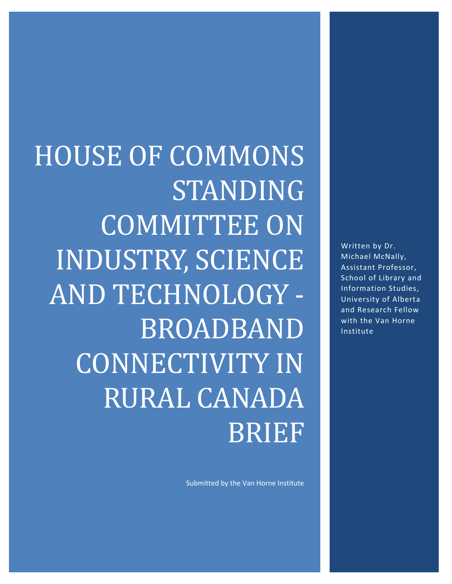Written by Dr. Michael McNally, Assistant Professor, School of Library and Information Studies, University of Alberta and Research Fellow with the Van Horne Institute

HOUSE OF COMMONS STANDING COMMITTEE ON INDUSTRY, SCIENCE AND TECHNOLOGY - BROADBAND CONNECTIVITY IN RURAL CANADA BRIEF

Submitted by the Van Horne Institute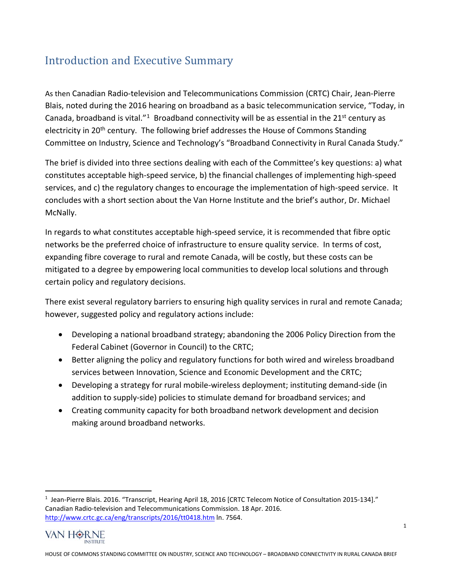# Introduction and Executive Summary

As then Canadian Radio-television and Telecommunications Commission (CRTC) Chair, Jean-Pierre Blais, noted during the 2016 hearing on broadband as a basic telecommunication service, "Today, in Canada, broadband is vital."<sup>1</sup> Broadband connectivity will be as essential in the  $21<sup>st</sup>$  century as electricity in 20<sup>th</sup> century. The following brief addresses the House of Commons Standing Committee on Industry, Science and Technology's "Broadband Connectivity in Rural Canada Study."

The brief is divided into three sections dealing with each of the Committee's key questions: a) what constitutes acceptable high-speed service, b) the financial challenges of implementing high-speed services, and c) the regulatory changes to encourage the implementation of high-speed service. It concludes with a short section about the Van Horne Institute and the brief's author, Dr. Michael McNally.

In regards to what constitutes acceptable high-speed service, it is recommended that fibre optic networks be the preferred choice of infrastructure to ensure quality service. In terms of cost, expanding fibre coverage to rural and remote Canada, will be costly, but these costs can be mitigated to a degree by empowering local communities to develop local solutions and through certain policy and regulatory decisions.

There exist several regulatory barriers to ensuring high quality services in rural and remote Canada; however, suggested policy and regulatory actions include:

- Developing a national broadband strategy; abandoning the 2006 Policy Direction from the Federal Cabinet (Governor in Council) to the CRTC;
- Better aligning the policy and regulatory functions for both wired and wireless broadband services between Innovation, Science and Economic Development and the CRTC;
- Developing a strategy for rural mobile-wireless deployment; instituting demand-side (in addition to supply-side) policies to stimulate demand for broadband services; and
- Creating community capacity for both broadband network development and decision making around broadband networks.

<span id="page-1-0"></span><sup>&</sup>lt;sup>1</sup> Jean-Pierre Blais. 2016. "Transcript, Hearing April 18, 2016 [CRTC Telecom Notice of Consultation 2015-134]." Canadian Radio-television and Telecommunications Commission. 18 Apr. 2016. <http://www.crtc.gc.ca/eng/transcripts/2016/tt0418.htm> ln. 7564.

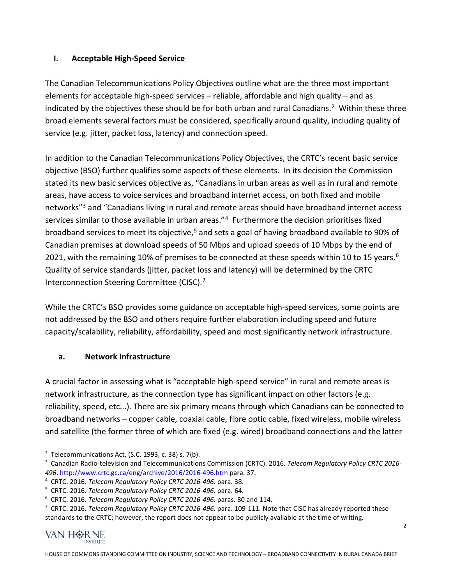#### **I. Acceptable High-Speed Service**

The Canadian Telecommunications Policy Objectives outline what are the three most important elements for acceptable high-speed services – reliable, affordable and high quality – and as indicated by the objectives these should be for both urban and rural Canadians.<sup>[2](#page-2-0)</sup> Within these three broad elements several factors must be considered, specifically around quality, including quality of service (e.g. jitter, packet loss, latency) and connection speed.

In addition to the Canadian Telecommunications Policy Objectives, the CRTC's recent basic service objective (BSO) further qualifies some aspects of these elements. In its decision the Commission stated its new basic services objective as, "Canadians in urban areas as well as in rural and remote areas, have access to voice services and broadband internet access, on both fixed and mobile networks"<sup>[3](#page-2-1)</sup> and "Canadians living in rural and remote areas should have broadband internet access services similar to those available in urban areas."<sup>[4](#page-2-2)</sup> Furthermore the decision prioritises fixed broadband services to meet its objective,<sup>[5](#page-2-3)</sup> and sets a goal of having broadband available to 90% of Canadian premises at download speeds of 50 Mbps and upload speeds of 10 Mbps by the end of 2021, with the remaining 10% of premises to be connected at these speeds within 10 to 15 years.<sup>[6](#page-2-4)</sup> Quality of service standards (jitter, packet loss and latency) will be determined by the CRTC Interconnection Steering Committee (CISC).[7](#page-2-5)

While the CRTC's BSO provides some guidance on acceptable high-speed services, some points are not addressed by the BSO and others require further elaboration including speed and future capacity/scalability, reliability, affordability, speed and most significantly network infrastructure.

#### **a. Network Infrastructure**

A crucial factor in assessing what is "acceptable high-speed service" in rural and remote areas is network infrastructure, as the connection type has significant impact on other factors (e.g. reliability, speed, etc...). There are six primary means through which Canadians can be connected to broadband networks – copper cable, coaxial cable, fibre optic cable, fixed wireless, mobile wireless and satellite (the former three of which are fixed (e.g. wired) broadband connections and the latter

<span id="page-2-0"></span> <sup>2</sup> Telecommunications Act, (S.C. 1993, c. 38) s. 7(b).

<span id="page-2-1"></span><sup>3</sup> Canadian Radio-television and Telecommunications Commission (CRTC). 2016. *Telecom Regulatory Policy CRTC 2016- 496*.<http://www.crtc.gc.ca/eng/archive/2016/2016-496.htm> para. 37.

<span id="page-2-2"></span><sup>&</sup>lt;sup>4</sup> CRTC. 2016. *Telecom Regulatory Policy CRTC 2016-496*. para. 38.<br><sup>5</sup> CRTC. 2016. *Telecom Regulatory Policy CRTC 2016-496*. para. 64.

<span id="page-2-3"></span>

<span id="page-2-5"></span><span id="page-2-4"></span><sup>&</sup>lt;sup>6</sup> CRTC. 2016. Telecom Regulatory Policy CRTC 2016-496. paras. 80 and 114.<br><sup>7</sup> CRTC. 2016. Telecom Regulatory Policy CRTC 2016-496. para. 109-111. Note that CISC has already reported these standards to the CRTC; however, the report does not appear to be publicly available at the time of writing.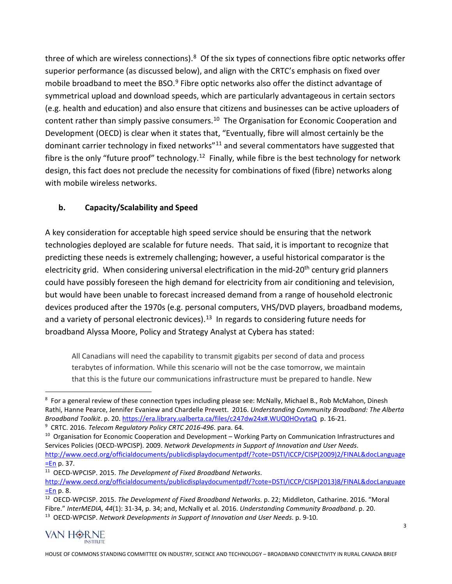three of which are wireless connections).<sup>[8](#page-3-0)</sup> Of the six types of connections fibre optic networks offer superior performance (as discussed below), and align with the CRTC's emphasis on fixed over mobile broadband to meet the BSO. $9$  Fibre optic networks also offer the distinct advantage of symmetrical upload and download speeds, which are particularly advantageous in certain sectors (e.g. health and education) and also ensure that citizens and businesses can be active uploaders of content rather than simply passive consumers.<sup>[10](#page-3-2)</sup> The Organisation for Economic Cooperation and Development (OECD) is clear when it states that, "Eventually, fibre will almost certainly be the dominant carrier technology in fixed networks<sup>"[11](#page-3-3)</sup> and several commentators have suggested that fibre is the only "future proof" technology.<sup>[12](#page-3-4)</sup> Finally, while fibre is the best technology for network design, this fact does not preclude the necessity for combinations of fixed (fibre) networks along with mobile wireless networks.

#### **b. Capacity/Scalability and Speed**

A key consideration for acceptable high speed service should be ensuring that the network technologies deployed are scalable for future needs. That said, it is important to recognize that predicting these needs is extremely challenging; however, a useful historical comparator is the electricity grid. When considering universal electrification in the mid-20<sup>th</sup> century grid planners could have possibly foreseen the high demand for electricity from air conditioning and television, but would have been unable to forecast increased demand from a range of household electronic devices produced after the 1970s (e.g. personal computers, VHS/DVD players, broadband modems, and a variety of personal electronic devices).<sup>[13](#page-3-5)</sup> In regards to considering future needs for broadband Alyssa Moore, Policy and Strategy Analyst at Cybera has stated:

All Canadians will need the capability to transmit gigabits per second of data and process terabytes of information. While this scenario will not be the case tomorrow, we maintain that this is the future our communications infrastructure must be prepared to handle. New

<span id="page-3-5"></span><span id="page-3-4"></span><sup>12</sup> OECD-WPCISP. 2015. *The Development of Fixed Broadband Networks*. p. 22; Middleton, Catharine. 2016. "Moral Fibre." *InterMEDIA, 44*(1): 31-34, p. 34; and, McNally et al. 2016. *Understanding Community Broadband*. p. 20. 13 OECD-WPCISP. *Network Developments in Support of Innovation and User Needs*. p. 9-10.



<span id="page-3-0"></span><sup>-&</sup>lt;br>8 <sup>8</sup> For a general review of these connection types including please see: McNally, Michael B., Rob McMahon, Dinesh Rathi, Hanne Pearce, Jennifer Evaniew and Chardelle Prevett. 2016. *Understanding Community Broadband: The Alberta Broadband Toolkit*. p. 20[. https://era.library.ualberta.ca/files/c247dw24x#.WUQ0HOvytaQ](https://era.library.ualberta.ca/files/c247dw24x#.WUQ0HOvytaQ) p. 16-21.

<span id="page-3-1"></span><sup>9</sup> CRTC. 2016. *Telecom Regulatory Policy CRTC 2016-496*. para. 64.

<span id="page-3-2"></span><sup>&</sup>lt;sup>10</sup> Organisation for Economic Cooperation and Development – Working Party on Communication Infrastructures and Services Policies (OECD-WPCISP). 2009. *Network Developments in Support of Innovation and User Needs*. [http://www.oecd.org/officialdocuments/publicdisplaydocumentpdf/?cote=DSTI/ICCP/CISP\(2009\)2/FINAL&docLanguage](http://www.oecd.org/officialdocuments/publicdisplaydocumentpdf/?cote=DSTI/ICCP/CISP(2009)2/FINAL&docLanguage=En) [=En](http://www.oecd.org/officialdocuments/publicdisplaydocumentpdf/?cote=DSTI/ICCP/CISP(2009)2/FINAL&docLanguage=En) p. 37.

<span id="page-3-3"></span><sup>11</sup> OECD-WPCISP. 2015. *The Development of Fixed Broadband Networks*.

[http://www.oecd.org/officialdocuments/publicdisplaydocumentpdf/?cote=DSTI/ICCP/CISP\(2013\)8/FINAL&docLanguage](http://www.oecd.org/officialdocuments/publicdisplaydocumentpdf/?cote=DSTI/ICCP/CISP(2013)8/FINAL&docLanguage=En) [=En](http://www.oecd.org/officialdocuments/publicdisplaydocumentpdf/?cote=DSTI/ICCP/CISP(2013)8/FINAL&docLanguage=En) p. 8.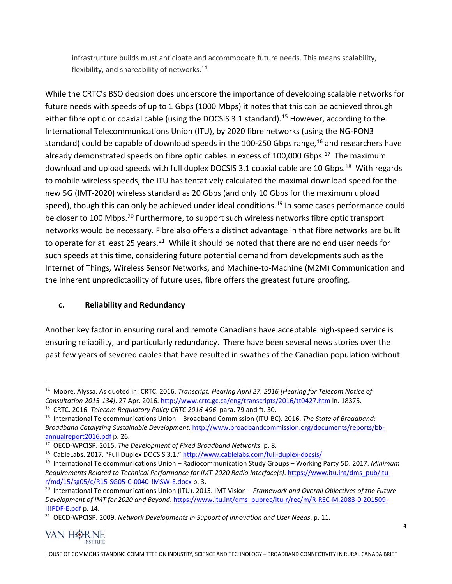infrastructure builds must anticipate and accommodate future needs. This means scalability, flexibility, and shareability of networks.<sup>14</sup>

While the CRTC's BSO decision does underscore the importance of developing scalable networks for future needs with speeds of up to 1 Gbps (1000 Mbps) it notes that this can be achieved through either fibre optic or coaxial cable (using the DOCSIS 3.1 standard).<sup>[15](#page-4-1)</sup> However, according to the International Telecommunications Union (ITU), by 2020 fibre networks (using the NG-PON3 standard) could be capable of download speeds in the 100-250 Gbps range,<sup>[16](#page-4-2)</sup> and researchers have already demonstrated speeds on fibre optic cables in excess of 100,000 Gbps.<sup>17</sup> The maximum download and upload speeds with full duplex DOCSIS 3.1 coaxial cable are 10 Gbps.<sup>[18](#page-4-4)</sup> With regards to mobile wireless speeds, the ITU has tentatively calculated the maximal download speed for the new 5G (IMT-2020) wireless standard as 20 Gbps (and only 10 Gbps for the maximum upload speed), though this can only be achieved under ideal conditions.<sup>[19](#page-4-5)</sup> In some cases performance could be closer to 100 Mbps.<sup>[20](#page-4-6)</sup> Furthermore, to support such wireless networks fibre optic transport networks would be necessary. Fibre also offers a distinct advantage in that fibre networks are built to operate for at least 25 years.<sup>[21](#page-4-7)</sup> While it should be noted that there are no end user needs for such speeds at this time, considering future potential demand from developments such as the Internet of Things, Wireless Sensor Networks, and Machine-to-Machine (M2M) Communication and the inherent unpredictability of future uses, fibre offers the greatest future proofing.

#### **c. Reliability and Redundancy**

Another key factor in ensuring rural and remote Canadians have acceptable high-speed service is ensuring reliability, and particularly redundancy. There have been several news stories over the past few years of severed cables that have resulted in swathes of the Canadian population without

<span id="page-4-7"></span><sup>21</sup> OECD-WPCISP. 2009. *Network Developments in Support of Innovation and User Needs*. p. 11.



<span id="page-4-0"></span> <sup>14</sup> Moore, Alyssa. As quoted in: CRTC. 2016. *Transcript, Hearing April 27, 2016 [Hearing for Telecom Notice of Consultation 2015-134]. 27 Apr. 2016.* http://www.crtc.gc.ca/eng/transcripts/2016/tt0427.htm ln. 18375.<br><sup>15</sup> CRTC. 2016. *Telecom Regulatory Policy CRTC 2016-496.* para. 79 and ft. 30.

<span id="page-4-2"></span><span id="page-4-1"></span><sup>16</sup> International Telecommunications Union – Broadband Commission (ITU-BC). 2016. *The State of Broadband: Broadband Catalyzing Sustainable Development*[. http://www.broadbandcommission.org/documents/reports/bb](http://www.broadbandcommission.org/documents/reports/bb-annualreport2016.pdf)[annualreport2016.pdf](http://www.broadbandcommission.org/documents/reports/bb-annualreport2016.pdf) p. 26.

<span id="page-4-3"></span><sup>17</sup> OECD-WPCISP. 2015. *The Development of Fixed Broadband Networks*. p. 8.

<span id="page-4-4"></span><sup>&</sup>lt;sup>18</sup> CableLabs. 2017. "Full Duplex DOCSIS 3.1."<http://www.cablelabs.com/full-duplex-docsis/>

<span id="page-4-5"></span><sup>19</sup> International Telecommunications Union – Radiocommunication Study Groups – Working Party 5D. 2017. *Minimum Requirements Related to Technical Performance for IMT-2020 Radio Interface(s)*. [https://www.itu.int/dms\\_pub/itu](https://www.itu.int/dms_pub/itu-r/md/15/sg05/c/R15-SG05-C-0040!!MSW-E.docx)[r/md/15/sg05/c/R15-SG05-C-0040!!MSW-E.docx](https://www.itu.int/dms_pub/itu-r/md/15/sg05/c/R15-SG05-C-0040!!MSW-E.docx) p. 3.

<span id="page-4-6"></span><sup>20</sup> International Telecommunications Union (ITU). 2015. IMT Vision – *Framework and Overall Objectives of the Future Development of IMT for 2020 and Beyond*. [https://www.itu.int/dms\\_pubrec/itu-r/rec/m/R-REC-M.2083-0-201509-](https://www.itu.int/dms_pubrec/itu-r/rec/m/R-REC-M.2083-0-201509-I!!PDF-E.pdf) [I!!PDF-E.pdf](https://www.itu.int/dms_pubrec/itu-r/rec/m/R-REC-M.2083-0-201509-I!!PDF-E.pdf) p. 14.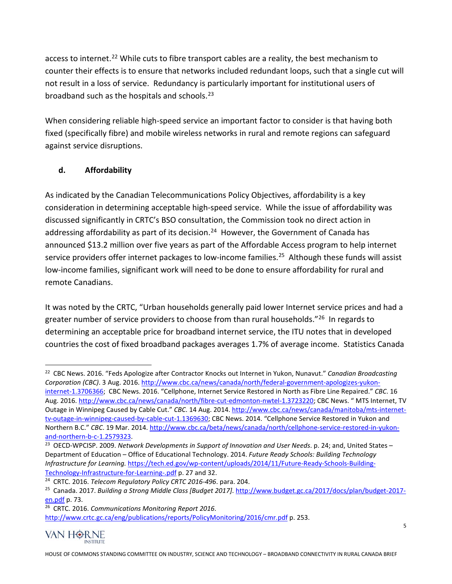access to internet.<sup>[22](#page-5-0)</sup> While cuts to fibre transport cables are a reality, the best mechanism to counter their effects is to ensure that networks included redundant loops, such that a single cut will not result in a loss of service. Redundancy is particularly important for institutional users of broadband such as the hospitals and schools. [23](#page-5-1)

When considering reliable high-speed service an important factor to consider is that having both fixed (specifically fibre) and mobile wireless networks in rural and remote regions can safeguard against service disruptions.

## **d. Affordability**

As indicated by the Canadian Telecommunications Policy Objectives, affordability is a key consideration in determining acceptable high-speed service. While the issue of affordability was discussed significantly in CRTC's BSO consultation, the Commission took no direct action in addressing affordability as part of its decision.<sup>24</sup> However, the Government of Canada has announced \$13.2 million over five years as part of the Affordable Access program to help internet service providers offer internet packages to low-income families.<sup>25</sup> Although these funds will assist low-income families, significant work will need to be done to ensure affordability for rural and remote Canadians.

It was noted by the CRTC, "Urban households generally paid lower Internet service prices and had a greater number of service providers to choose from than rural households."<sup>26</sup> In regards to determining an acceptable price for broadband internet service, the ITU notes that in developed countries the cost of fixed broadband packages averages 1.7% of average income. Statistics Canada

<span id="page-5-4"></span><span id="page-5-3"></span><sup>26</sup> CRTC. 2016. *Communications Monitoring Report 2016*. <http://www.crtc.gc.ca/eng/publications/reports/PolicyMonitoring/2016/cmr.pdf> p. 253.



<span id="page-5-0"></span> <sup>22</sup> CBC News. 2016. "Feds Apologize after Contractor Knocks out Internet in Yukon, Nunavut." *Canadian Broadcasting Corporation (CBC)*. 3 Aug. 2016[. http://www.cbc.ca/news/canada/north/federal-government-apologizes-yukon](http://www.cbc.ca/news/canada/north/federal-government-apologizes-yukon-internet-1.3706366)[internet-1.3706366;](http://www.cbc.ca/news/canada/north/federal-government-apologizes-yukon-internet-1.3706366) CBC News. 2016. "Cellphone, Internet Service Restored in North as Fibre Line Repaired." *CBC*. 16 Aug. 2016. [http://www.cbc.ca/news/canada/north/fibre-cut-edmonton-nwtel-1.3723220;](http://www.cbc.ca/news/canada/north/fibre-cut-edmonton-nwtel-1.3723220) CBC News. " MTS Internet, TV Outage in Winnipeg Caused by Cable Cut." *CBC*. 14 Aug. 2014[. http://www.cbc.ca/news/canada/manitoba/mts-internet](http://www.cbc.ca/news/canada/manitoba/mts-internet-tv-outage-in-winnipeg-caused-by-cable-cut-1.1369630)[tv-outage-in-winnipeg-caused-by-cable-cut-1.1369630;](http://www.cbc.ca/news/canada/manitoba/mts-internet-tv-outage-in-winnipeg-caused-by-cable-cut-1.1369630) CBC News. 2014. "Cellphone Service Restored in Yukon and Northern B.C." *CBC*. 19 Mar. 2014. [http://www.cbc.ca/beta/news/canada/north/cellphone-service-restored-in-yukon-](http://www.cbc.ca/beta/news/canada/north/cellphone-service-restored-in-yukon-and-northern-b-c-1.2579323)

<span id="page-5-1"></span>and-northern-b-c-1.2579323.<br><sup>23</sup> OECD-WPCISP. 2009. *Network Developments in Support of Innovation and User Needs*. p. 24; and, United States – Department of Education – Office of Educational Technology. 2014. *Future Ready Schools: Building Technology Infrastructure for Learning.* [https://tech.ed.gov/wp-content/uploads/2014/11/Future-Ready-Schools-Building-](https://tech.ed.gov/wp-content/uploads/2014/11/Future-Ready-Schools-Building-Technology-Infrastructure-for-Learning-.pdf)[Technology-Infrastructure-for-Learning-.pdf](https://tech.ed.gov/wp-content/uploads/2014/11/Future-Ready-Schools-Building-Technology-Infrastructure-for-Learning-.pdf) p. 27 and 32.

<span id="page-5-2"></span><sup>24</sup> CRTC. 2016. *Telecom Regulatory Policy CRTC 2016-496*. para. 204.

<sup>25</sup> Canada. 2017. *Building a Strong Middle Class [Budget 2017]*[. http://www.budget.gc.ca/2017/docs/plan/budget-2017](http://www.budget.gc.ca/2017/docs/plan/budget-2017-en.pdf) [en.pdf](http://www.budget.gc.ca/2017/docs/plan/budget-2017-en.pdf) p. 73.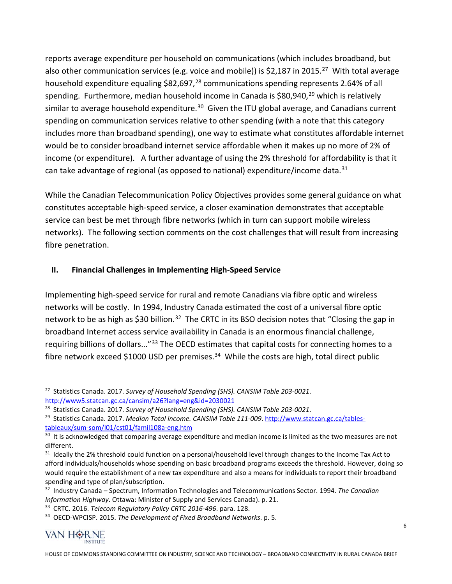reports average expenditure per household on communications (which includes broadband, but also other communication services (e.g. voice and mobile)) is \$2,187 in 2015.<sup>27</sup> With total average household expenditure equaling \$82,697,<sup>[28](#page-6-1)</sup> communications spending represents 2.64% of all spending. Furthermore, median household income in Canada is  $$80,940<sup>29</sup>$  $$80,940<sup>29</sup>$  $$80,940<sup>29</sup>$  which is relatively similar to average household expenditure.<sup>30</sup> Given the ITU global average, and Canadians current spending on communication services relative to other spending (with a note that this category includes more than broadband spending), one way to estimate what constitutes affordable internet would be to consider broadband internet service affordable when it makes up no more of 2% of income (or expenditure). A further advantage of using the 2% threshold for affordability is that it can take advantage of regional (as opposed to national) expenditure/income data. $31$ 

While the Canadian Telecommunication Policy Objectives provides some general guidance on what constitutes acceptable high-speed service, a closer examination demonstrates that acceptable service can best be met through fibre networks (which in turn can support mobile wireless networks). The following section comments on the cost challenges that will result from increasing fibre penetration.

## **II. Financial Challenges in Implementing High-Speed Service**

Implementing high-speed service for rural and remote Canadians via fibre optic and wireless networks will be costly. In 1994, Industry Canada estimated the cost of a universal fibre optic network to be as high as \$30 billion.<sup>32</sup> The CRTC in its BSO decision notes that "Closing the gap in broadband Internet access service availability in Canada is an enormous financial challenge, requiring billions of dollars..."<sup>[33](#page-6-6)</sup> The OECD estimates that capital costs for connecting homes to a fibre network exceed \$1000 USD per premises. $34$  While the costs are high, total direct public

<span id="page-6-7"></span><span id="page-6-6"></span><sup>34</sup> OECD-WPCISP. 2015. *The Development of Fixed Broadband Networks*. p. 5.



<span id="page-6-0"></span> <sup>27</sup> Statistics Canada. 2017. *Survey of Household Spending (SHS). CANSIM Table 203-0021*. <http://www5.statcan.gc.ca/cansim/a26?lang=eng&id=2030021>

<span id="page-6-1"></span><sup>28</sup> Statistics Canada. 2017. *Survey of Household Spending (SHS). CANSIM Table 203-0021*.

<span id="page-6-2"></span><sup>&</sup>lt;sup>29</sup> Statistics Canada. 2017. *Median Total income. CANSIM Table 111-009*. [http://www.statcan.gc.ca/tables](http://www.statcan.gc.ca/tables-tableaux/sum-som/l01/cst01/famil108a-eng.htm)[tableaux/sum-som/l01/cst01/famil108a-eng.htm](http://www.statcan.gc.ca/tables-tableaux/sum-som/l01/cst01/famil108a-eng.htm)

<span id="page-6-3"></span><sup>&</sup>lt;sup>30</sup> It is acknowledged that comparing average expenditure and median income is limited as the two measures are not different.

<span id="page-6-4"></span><sup>&</sup>lt;sup>31</sup> Ideally the 2% threshold could function on a personal/household level through changes to the Income Tax Act to afford individuals/households whose spending on basic broadband programs exceeds the threshold. However, doing so would require the establishment of a new tax expenditure and also a means for individuals to report their broadband spending and type of plan/subscription.

<span id="page-6-5"></span><sup>32</sup> Industry Canada – Spectrum, Information Technologies and Telecommunications Sector. 1994. *The Canadian Information Highway*. Ottawa: Minister of Supply and Services Canada). p. 21.

<sup>33</sup> CRTC. 2016. *Telecom Regulatory Policy CRTC 2016-496*. para. 128.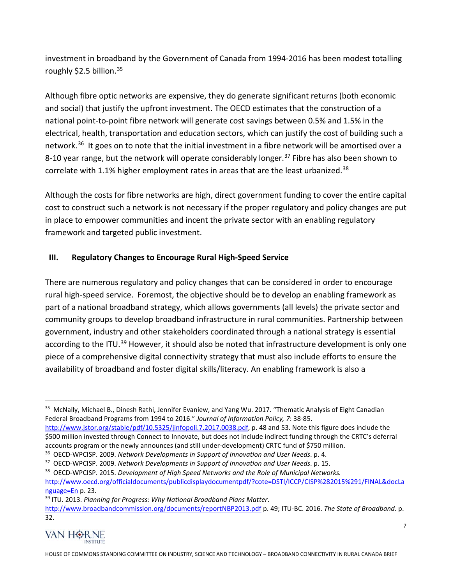investment in broadband by the Government of Canada from 1994-2016 has been modest totalling roughly \$2.5 billion.<sup>[35](#page-7-0)</sup>

Although fibre optic networks are expensive, they do generate significant returns (both economic and social) that justify the upfront investment. The OECD estimates that the construction of a national point-to-point fibre network will generate cost savings between 0.5% and 1.5% in the electrical, health, transportation and education sectors, which can justify the cost of building such a network.<sup>36</sup> It goes on to note that the initial investment in a fibre network will be amortised over a 8-10 year range, but the network will operate considerably longer.<sup>[37](#page-7-2)</sup> Fibre has also been shown to correlate with 1.1% higher employment rates in areas that are the least urbanized. $38$ 

Although the costs for fibre networks are high, direct government funding to cover the entire capital cost to construct such a network is not necessary if the proper regulatory and policy changes are put in place to empower communities and incent the private sector with an enabling regulatory framework and targeted public investment.

#### **III. Regulatory Changes to Encourage Rural High-Speed Service**

There are numerous regulatory and policy changes that can be considered in order to encourage rural high-speed service. Foremost, the objective should be to develop an enabling framework as part of a national broadband strategy, which allows governments (all levels) the private sector and community groups to develop broadband infrastructure in rural communities. Partnership between government, industry and other stakeholders coordinated through a national strategy is essential according to the ITU.<sup>[39](#page-7-4)</sup> However, it should also be noted that infrastructure development is only one piece of a comprehensive digital connectivity strategy that must also include efforts to ensure the availability of broadband and foster digital skills/literacy. An enabling framework is also a

<span id="page-7-4"></span><sup>39</sup> ITU. 2013. *Planning for Progress: Why National Broadband Plans Matter*. <http://www.broadbandcommission.org/documents/reportNBP2013.pdf> p. 49; ITU-BC. 2016. *The State of Broadband*. p. 32.



<span id="page-7-0"></span><sup>&</sup>lt;sup>35</sup> McNally, Michael B., Dinesh Rathi, Jennifer Evaniew, and Yang Wu. 2017. "Thematic Analysis of Eight Canadian Federal Broadband Programs from 1994 to 2016." *Journal of Information Policy, 7*: 38-85.

[http://www.jstor.org/stable/pdf/10.5325/jinfopoli.7.2017.0038.pdf,](http://www.jstor.org/stable/pdf/10.5325/jinfopoli.7.2017.0038.pdf) p. 48 and 53. Note this figure does include the \$500 million invested through Connect to Innovate, but does not include indirect funding through the CRTC's deferral accounts program or the newly announces (and still under-development) CRTC fund of \$750 million.<br><sup>36</sup> OECD-WPCISP. 2009. *Network Developments in Support of Innovation and User Needs*. p. 4.

<span id="page-7-1"></span>

<span id="page-7-2"></span><sup>37</sup> OECD-WPCISP. 2009. *Network Developments in Support of Innovation and User Needs*. p. 15.

<span id="page-7-3"></span><sup>38</sup> OECD-WPCISP. 2015. *Development of High Speed Networks and the Role of Municipal Networks.*  [http://www.oecd.org/officialdocuments/publicdisplaydocumentpdf/?cote=DSTI/ICCP/CISP%282015%291/FINAL&docLa](http://www.oecd.org/officialdocuments/publicdisplaydocumentpdf/?cote=DSTI/ICCP/CISP%282015%291/FINAL&docLanguage=En) [nguage=En](http://www.oecd.org/officialdocuments/publicdisplaydocumentpdf/?cote=DSTI/ICCP/CISP%282015%291/FINAL&docLanguage=En) p. 23.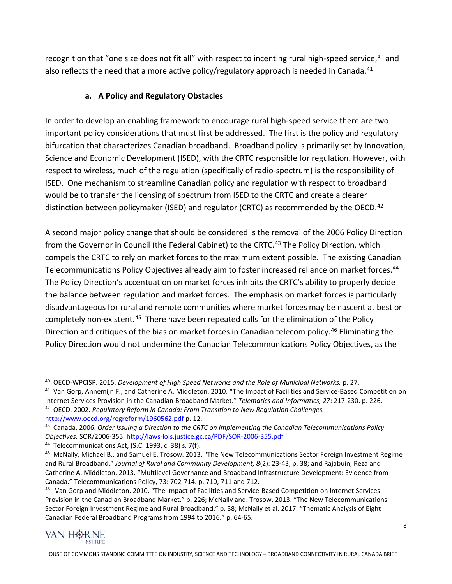recognition that "one size does not fit all" with respect to incenting rural high-speed service, <sup>[40](#page-8-0)</sup> and also reflects the need that a more active policy/regulatory approach is needed in Canada.<sup>[41](#page-8-1)</sup>

### **a. A Policy and Regulatory Obstacles**

In order to develop an enabling framework to encourage rural high-speed service there are two important policy considerations that must first be addressed. The first is the policy and regulatory bifurcation that characterizes Canadian broadband. Broadband policy is primarily set by Innovation, Science and Economic Development (ISED), with the CRTC responsible for regulation. However, with respect to wireless, much of the regulation (specifically of radio-spectrum) is the responsibility of ISED. One mechanism to streamline Canadian policy and regulation with respect to broadband would be to transfer the licensing of spectrum from ISED to the CRTC and create a clearer distinction between policymaker (ISED) and regulator (CRTC) as recommended by the OECD.<sup>[42](#page-8-2)</sup>

A second major policy change that should be considered is the removal of the 2006 Policy Direction from the Governor in Council (the Federal Cabinet) to the CRTC.<sup>[43](#page-8-3)</sup> The Policy Direction, which compels the CRTC to rely on market forces to the maximum extent possible. The existing Canadian Telecommunications Policy Objectives already aim to foster increased reliance on market forces.<sup>[44](#page-8-4)</sup> The Policy Direction's accentuation on market forces inhibits the CRTC's ability to properly decide the balance between regulation and market forces. The emphasis on market forces is particularly disadvantageous for rural and remote communities where market forces may be nascent at best or completely non-existent.<sup>[45](#page-8-5)</sup> There have been repeated calls for the elimination of the Policy Direction and critiques of the bias on market forces in Canadian telecom policy. [46](#page-8-6) Eliminating the Policy Direction would not undermine the Canadian Telecommunications Policy Objectives, as the

<span id="page-8-2"></span><sup>42</sup> OECD. 2002. *Regulatory Reform in Canada: From Transition to New Regulation Challenges.*  <http://www.oecd.org/regreform/1960562.pdf> p. 12.

<span id="page-8-6"></span><sup>&</sup>lt;sup>46</sup> Van Gorp and Middleton. 2010. "The Impact of Facilities and Service-Based Competition on Internet Services Provision in the Canadian Broadband Market." p. 226; McNally and. Trosow. 2013. "The New Telecommunications Sector Foreign Investment Regime and Rural Broadband." p. 38; McNally et al. 2017. "Thematic Analysis of Eight Canadian Federal Broadband Programs from 1994 to 2016." p. 64-65.



<span id="page-8-0"></span> <sup>40</sup> OECD-WPCISP. 2015. *Development of High Speed Networks and the Role of Municipal Networks.* p. 27.

<span id="page-8-1"></span> $41$  Van Gorp, Annemijn F., and Catherine A. Middleton. 2010. "The Impact of Facilities and Service-Based Competition on Internet Services Provision in the Canadian Broadband Market." *Telematics and Informatics, 27*: 217-230. p. 226.

<span id="page-8-3"></span><sup>43</sup> Canada. 2006. *Order Issuing a Direction to the CRTC on Implementing the Canadian Telecommunications Policy Objectives.* SOR/2006-355[. http://laws-lois.justice.gc.ca/PDF/SOR-2006-355.pdf](http://laws-lois.justice.gc.ca/PDF/SOR-2006-355.pdf)

<span id="page-8-4"></span><sup>44</sup> Telecommunications Act, (S.C. 1993, c. 38) s. 7(f).

<span id="page-8-5"></span><sup>45</sup> McNally, Michael B., and Samuel E. Trosow. 2013. "The New Telecommunications Sector Foreign Investment Regime and Rural Broadband." *Journal of Rural and Community Development, 8*(2): 23-43, p. 38; and Rajabuin, Reza and Catherine A. Middleton. 2013. "Multilevel Governance and Broadband Infrastructure Development: Evidence from Canada." Telecommunications Policy, 73: 702-714. p. 710, 711 and 712.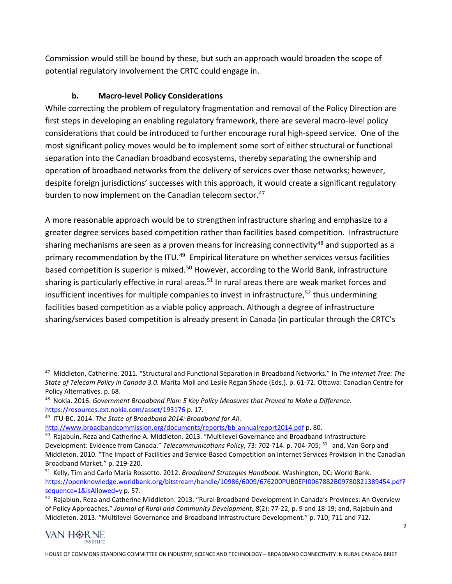Commission would still be bound by these, but such an approach would broaden the scope of potential regulatory involvement the CRTC could engage in.

## **b. Macro-level Policy Considerations**

While correcting the problem of regulatory fragmentation and removal of the Policy Direction are first steps in developing an enabling regulatory framework, there are several macro-level policy considerations that could be introduced to further encourage rural high-speed service. One of the most significant policy moves would be to implement some sort of either structural or functional separation into the Canadian broadband ecosystems, thereby separating the ownership and operation of broadband networks from the delivery of services over those networks; however, despite foreign jurisdictions' successes with this approach, it would create a significant regulatory burden to now implement on the Canadian telecom sector.<sup>[47](#page-9-0)</sup>

A more reasonable approach would be to strengthen infrastructure sharing and emphasize to a greater degree services based competition rather than facilities based competition. Infrastructure sharing mechanisms are seen as a proven means for increasing connectivity<sup>[48](#page-9-1)</sup> and supported as a primary recommendation by the ITU.<sup>[49](#page-9-2)</sup> Empirical literature on whether services versus facilities based competition is superior is mixed.<sup>[50](#page-9-3)</sup> However, according to the World Bank, infrastructure sharing is particularly effective in rural areas.<sup>[51](#page-9-4)</sup> In rural areas there are weak market forces and insufficient incentives for multiple companies to invest in infrastructure,  $52$  thus undermining facilities based competition as a viable policy approach. Although a degree of infrastructure sharing/services based competition is already present in Canada (in particular through the CRTC's

<span id="page-9-5"></span>of Policy Approaches." *Journal of Rural and Community Development, 8*(2): 77-22, p. 9 and 18-19; and, Rajabuin and Middleton. 2013. "Multilevel Governance and Broadband Infrastructure Development." p. 710, 711 and 712.



<span id="page-9-0"></span> <sup>47</sup> Middleton, Catherine. 2011. "Structural and Functional Separation in Broadband Networks." In *The Internet Tree: The State of Telecom Policy in Canada 3.0*. Marita Moll and Leslie Regan Shade (Eds.). p. 61-72. Ottawa: Canadian Centre for Policy Alternatives. p. 68.

<span id="page-9-1"></span><sup>48</sup> Nokia. 2016. *Government Broadband Plan: 5 Key Policy Measures that Proved to Make a Difference*. <https://resources.ext.nokia.com/asset/193176> p. 17.

<span id="page-9-2"></span><sup>49</sup> ITU-BC. 2014. *The State of Broadband 2014: Broadband for All*.

<http://www.broadbandcommission.org/documents/reports/bb-annualreport2014.pdf> p. 80.

<span id="page-9-3"></span><sup>50</sup> Rajabuin, Reza and Catherine A. Middleton. 2013. "Multilevel Governance and Broadband Infrastructure Development: Evidence from Canada." *Telecommunications Policy*, 73: 702-714. p. 704-705; 50 and, Van Gorp and Middleton. 2010. "The Impact of Facilities and Service-Based Competition on Internet Services Provision in the Canadian Broadband Market." p. 219-220.

<span id="page-9-4"></span><sup>51</sup> Kelly, Tim and Carlo Maria Rossotto. 2012. *Broadband Strategies Handbook*. Washington, DC: World Bank. [https://openknowledge.worldbank.org/bitstream/handle/10986/6009/676200PUB0EPI0067882B09780821389454.pdf?](https://openknowledge.worldbank.org/bitstream/handle/10986/6009/676200PUB0EPI0067882B09780821389454.pdf?sequence=1&isAllowed=y) sequence=1&isAllowed=y [p](https://openknowledge.worldbank.org/bitstream/handle/10986/6009/676200PUB0EPI0067882B09780821389454.pdf?sequence=1&isAllowed=y). 57.<br><sup>52</sup> Rajabiun, Reza and Catherine Middleton. 2013. "Rural Broadband Development in Canada's Provinces: An Overview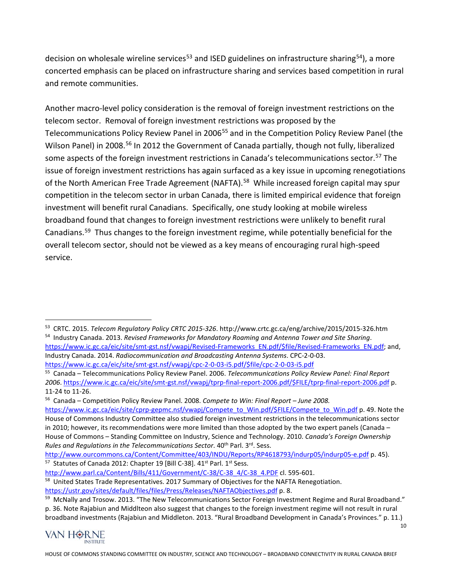decision on wholesale wireline services<sup>[53](#page-10-0)</sup> and ISED guidelines on infrastructure sharing<sup>54</sup>), a more concerted emphasis can be placed on infrastructure sharing and services based competition in rural and remote communities.

Another macro-level policy consideration is the removal of foreign investment restrictions on the telecom sector. Removal of foreign investment restrictions was proposed by the Telecommunications Policy Review Panel in 2006<sup>[55](#page-10-2)</sup> and in the Competition Policy Review Panel (the Wilson Panel) in 2008.<sup>[56](#page-10-3)</sup> In 2012 the Government of Canada partially, though not fully, liberalized some aspects of the foreign investment restrictions in Canada's telecommunications sector.<sup>[57](#page-10-4)</sup> The issue of foreign investment restrictions has again surfaced as a key issue in upcoming renegotiations of the North American Free Trade Agreement (NAFTA).<sup>58</sup> While increased foreign capital may spur competition in the telecom sector in urban Canada, there is limited empirical evidence that foreign investment will benefit rural Canadians. Specifically, one study looking at mobile wireless broadband found that changes to foreign investment restrictions were unlikely to benefit rural Canadians.[59](#page-10-6) Thus changes to the foreign investment regime, while potentially beneficial for the overall telecom sector, should not be viewed as a key means of encouraging rural high-speed service.

10



<span id="page-10-0"></span> <sup>53</sup> CRTC. 2015. *Telecom Regulatory Policy CRTC 2015-326*. http://www.crtc.gc.ca/eng/archive/2015/2015-326.htm <sup>54</sup> Industry Canada. 2013. *Revised Frameworks for Mandatory Roaming and Antenna Tower and Site Sharing*.

<span id="page-10-1"></span>[https://www.ic.gc.ca/eic/site/smt-gst.nsf/vwapj/Revised-Frameworks\\_EN.pdf/\\$file/Revised-Frameworks\\_EN.pdf;](https://www.ic.gc.ca/eic/site/smt-gst.nsf/vwapj/Revised-Frameworks_EN.pdf/$file/Revised-Frameworks_EN.pdf) and, Industry Canada. 2014. *Radiocommunication and Broadcasting Antenna Systems*. CPC-2-0-03.

<span id="page-10-2"></span>

https://www.ic.gc.ca/eic/site/smt-gst.nsf/vwapj/cpc-2-0-03-i5.pdf/\$file/cpc-2-0-03-i5.pdf<br><sup>55</sup> Canada – Telecommunications Policy Review Panel. 2006. *Telecommunications Policy Review Panel: Final Report 2006*. [https://www.ic.gc.ca/eic/site/smt-gst.nsf/vwapj/tprp-final-report-2006.pdf/\\$FILE/tprp-final-report-2006.pdf](https://www.ic.gc.ca/eic/site/smt-gst.nsf/vwapj/tprp-final-report-2006.pdf/$FILE/tprp-final-report-2006.pdf) p. 11-24 to 11-26.

<span id="page-10-3"></span><sup>56</sup> Canada – Competition Policy Review Panel. 2008. *Compete to Win: Final Report – June 2008.*

[https://www.ic.gc.ca/eic/site/cprp-gepmc.nsf/vwapj/Compete\\_to\\_Win.pdf/\\$FILE/Compete\\_to\\_Win.pdf](https://www.ic.gc.ca/eic/site/cprp-gepmc.nsf/vwapj/Compete_to_Win.pdf/$FILE/Compete_to_Win.pdf) p. 49. Note the House of Commons Industry Committee also studied foreign investment restrictions in the telecommunications sector in 2010; however, its recommendations were more limited than those adopted by the two expert panels (Canada – House of Commons – Standing Committee on Industry, Science and Technology. 2010. *Canada's Foreign Ownership Rules and Regulations in the Telecommunications Sector*. 40th Parl. 3rd. Sess.

<span id="page-10-4"></span><http://www.ourcommons.ca/Content/Committee/403/INDU/Reports/RP4618793/indurp05/indurp05-e.pdf> p. 45). <sup>57</sup> Statutes of Canada 2012: Chapter 19 [Bill C-38]. 41<sup>st</sup> Parl. 1<sup>st</sup> Sess.

<span id="page-10-5"></span>[http://www.parl.ca/Content/Bills/411/Government/C-38/C-38\\_4/C-38\\_4.PDF](http://www.parl.ca/Content/Bills/411/Government/C-38/C-38_4/C-38_4.PDF) cl. 595-601. <sup>58</sup> United States Trade Representatives. 2017 Summary of Objectives for the NAFTA Renegotiation.

<https://ustr.gov/sites/default/files/files/Press/Releases/NAFTAObjectives.pdf> p. 8.

<span id="page-10-6"></span><sup>59</sup> McNally and Trosow. 2013. "The New Telecommunications Sector Foreign Investment Regime and Rural Broadband." p. 36. Note Rajabiun and Middlteon also suggest that changes to the foreign investment regime will not result in rural broadband investments (Rajabiun and Middleton. 2013. "Rural Broadband Development in Canada's Provinces." p. 11.)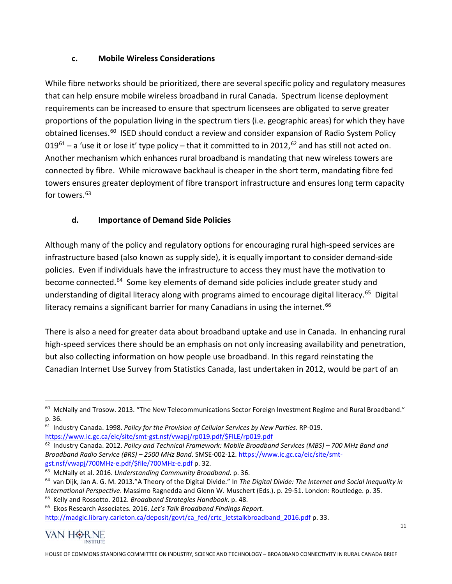#### **c. Mobile Wireless Considerations**

While fibre networks should be prioritized, there are several specific policy and regulatory measures that can help ensure mobile wireless broadband in rural Canada. Spectrum license deployment requirements can be increased to ensure that spectrum licensees are obligated to serve greater proportions of the population living in the spectrum tiers (i.e. geographic areas) for which they have obtained licenses.<sup>60</sup> ISED should conduct a review and consider expansion of Radio System Policy  $019^{61}$  $019^{61}$  $019^{61}$  – a 'use it or lose it' type policy – that it committed to in 2012,  $^{62}$  $^{62}$  $^{62}$  and has still not acted on. Another mechanism which enhances rural broadband is mandating that new wireless towers are connected by fibre. While microwave backhaul is cheaper in the short term, mandating fibre fed towers ensures greater deployment of fibre transport infrastructure and ensures long term capacity for towers.<sup>[63](#page-11-3)</sup>

## **d. Importance of Demand Side Policies**

Although many of the policy and regulatory options for encouraging rural high-speed services are infrastructure based (also known as supply side), it is equally important to consider demand-side policies. Even if individuals have the infrastructure to access they must have the motivation to become connected.<sup>[64](#page-11-4)</sup> Some key elements of demand side policies include greater study and understanding of digital literacy along with programs aimed to encourage digital literacy.<sup>65</sup> Digital literacy remains a significant barrier for many Canadians in using the internet.<sup>[66](#page-11-6)</sup>

There is also a need for greater data about broadband uptake and use in Canada. In enhancing rural high-speed services there should be an emphasis on not only increasing availability and penetration, but also collecting information on how people use broadband. In this regard reinstating the Canadian Internet Use Survey from Statistics Canada, last undertaken in 2012, would be part of an

<span id="page-11-6"></span>[http://madgic.library.carleton.ca/deposit/govt/ca\\_fed/crtc\\_letstalkbroadband\\_2016.pdf](http://madgic.library.carleton.ca/deposit/govt/ca_fed/crtc_letstalkbroadband_2016.pdf) p. 33.



<span id="page-11-0"></span><sup>&</sup>lt;sup>60</sup> McNally and Trosow. 2013. "The New Telecommunications Sector Foreign Investment Regime and Rural Broadband." p. 36.

<span id="page-11-1"></span><sup>61</sup> Industry Canada. 1998. *Policy for the Provision of Cellular Services by New Parties*. RP-019.

[https://www.ic.gc.ca/eic/site/smt-gst.nsf/vwapj/rp019.pdf/\\$FILE/rp019.pdf](https://www.ic.gc.ca/eic/site/smt-gst.nsf/vwapj/rp019.pdf/$FILE/rp019.pdf)

<span id="page-11-2"></span><sup>62</sup> Industry Canada. 2012. *Policy and Technical Framework: Mobile Broadband Services (MBS) – 700 MHz Band and Broadband Radio Service (BRS) – 2500 MHz Band*. SMSE-002-12. [https://www.ic.gc.ca/eic/site/smt](https://www.ic.gc.ca/eic/site/smt-gst.nsf/vwapj/700MHz-e.pdf/$file/700MHz-e.pdf)[gst.nsf/vwapj/700MHz-e.pdf/\\$file/700MHz-e.pdf](https://www.ic.gc.ca/eic/site/smt-gst.nsf/vwapj/700MHz-e.pdf/$file/700MHz-e.pdf) p. 32.<br><sup>63</sup> McNally et al. 2016. *Understanding Community Broadband.* p. 36.

<span id="page-11-3"></span>

<span id="page-11-4"></span><sup>&</sup>lt;sup>64</sup> van Dijk, Jan A. G. M. 2013."A Theory of the Digital Divide." In The Digital Divide: The Internet and Social Inequality in International Perspective. Massimo Ragnedda and Glenn W. Muschert (Eds.). p. 29-51. London: Routledge. p. 35.<br><sup>65</sup> Kelly and Rossotto. 2012. *Broadband Strategies Handbook.* p. 48.<br><sup>66</sup> Ekos Research Associates. 2016. Let'

<span id="page-11-5"></span>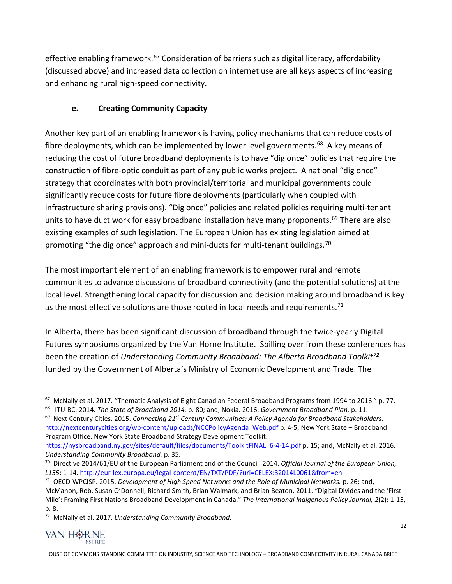effective enabling framework.<sup>[67](#page-12-0)</sup> Consideration of barriers such as digital literacy, affordability (discussed above) and increased data collection on internet use are all keys aspects of increasing and enhancing rural high-speed connectivity.

# **e. Creating Community Capacity**

Another key part of an enabling framework is having policy mechanisms that can reduce costs of fibre deployments, which can be implemented by lower level governments.<sup>68</sup> A key means of reducing the cost of future broadband deployments is to have "dig once" policies that require the construction of fibre-optic conduit as part of any public works project. A national "dig once" strategy that coordinates with both provincial/territorial and municipal governments could significantly reduce costs for future fibre deployments (particularly when coupled with infrastructure sharing provisions). "Dig once" policies and related policies requiring multi-tenant units to have duct work for easy broadband installation have many proponents. [69](#page-12-2) There are also existing examples of such legislation. The European Union has existing legislation aimed at promoting "the dig once" approach and mini-ducts for multi-tenant buildings.<sup>[70](#page-12-3)</sup>

The most important element of an enabling framework is to empower rural and remote communities to advance discussions of broadband connectivity (and the potential solutions) at the local level. Strengthening local capacity for discussion and decision making around broadband is key as the most effective solutions are those rooted in local needs and requirements.<sup>[71](#page-12-4)</sup>

In Alberta, there has been significant discussion of broadband through the twice-yearly Digital Futures symposiums organized by the Van Horne Institute. Spilling over from these conferences has been the creation of *Understanding Community Broadband: The Alberta Broadband Toolkit[72](#page-12-5)* funded by the Government of Alberta's Ministry of Economic Development and Trade. The

<span id="page-12-1"></span>68 ITU-BC. 2014. *The State of Broadband 2014.* p. 80; and, Nokia. 2016. *Government Broadband Plan.* p. 11.

<span id="page-12-2"></span><sup>69</sup> Next Century Cities. 2015. *Connecting 21st Century Communities: A Policy Agenda for Broadband Stakeholders*. [http://nextcenturycities.org/wp-content/uploads/NCCPolicyAgenda\\_Web.pdf](http://nextcenturycities.org/wp-content/uploads/NCCPolicyAgenda_Web.pdf) p. 4-5; New York State – Broadband Program Office. New York State Broadband Strategy Development Toolkit. [https://nysbroadband.ny.gov/sites/default/files/documents/ToolkitFINAL\\_6-4-14.pdf](https://nysbroadband.ny.gov/sites/default/files/documents/ToolkitFINAL_6-4-14.pdf) p. 15; and, McNally et al. 2016.

<span id="page-12-5"></span><sup>72</sup> McNally et al. 2017. *Understanding Community Broadband*.



<span id="page-12-0"></span> <sup>67</sup> McNally et al. 2017. "Thematic Analysis of Eight Canadian Federal Broadband Programs from 1994 to 2016." p. 77.

*Understanding Community Broadband.* p. 35.<br><sup>70</sup> Directive 2014/61/EU of the European Parliament and of the Council. 2014. *Official Journal of the European Union*,

<span id="page-12-3"></span>*L155*: 1-14[. http://eur-lex.europa.eu/legal-content/EN/TXT/PDF/?uri=CELEX:32014L0061&from=en](http://eur-lex.europa.eu/legal-content/EN/TXT/PDF/?uri=CELEX:32014L0061&from=en)

<span id="page-12-4"></span><sup>71</sup> OECD-WPCISP. 2015. *Development of High Speed Networks and the Role of Municipal Networks.* p. 26; and, McMahon, Rob, Susan O'Donnell, Richard Smith, Brian Walmark, and Brian Beaton. 2011. "Digital Divides and the 'First Mile': Framing First Nations Broadband Development in Canada." *The International Indigenous Policy Journal, 2*(2): 1-15, p. 8.